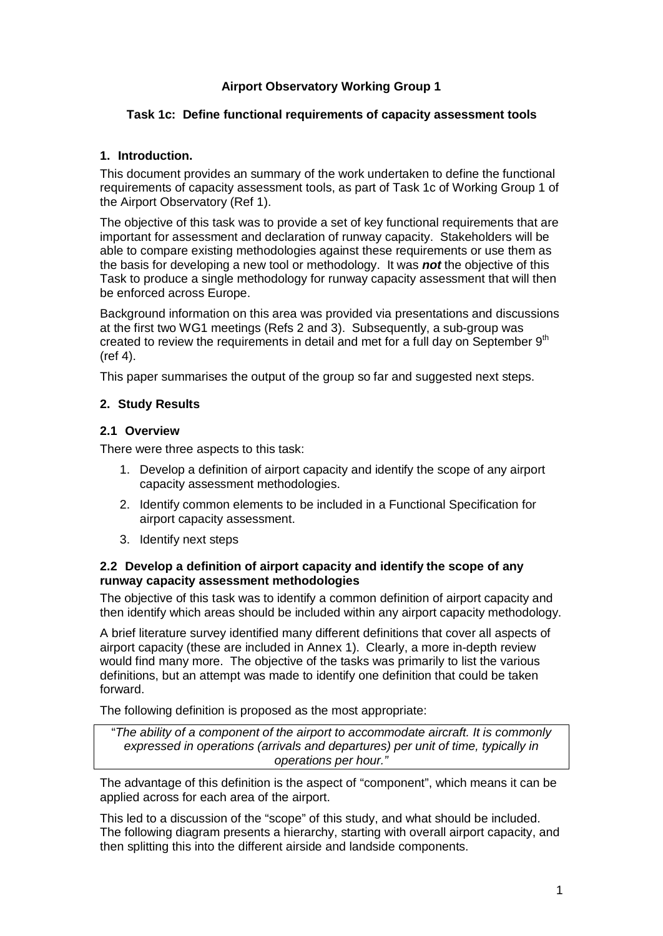# **Airport Observatory Working Group 1**

### **Task 1c: Define functional requirements of capacity assessment tools**

### **1. Introduction.**

This document provides an summary of the work undertaken to define the functional requirements of capacity assessment tools, as part of Task 1c of Working Group 1 of the Airport Observatory (Ref 1).

The objective of this task was to provide a set of key functional requirements that are important for assessment and declaration of runway capacity. Stakeholders will be able to compare existing methodologies against these requirements or use them as the basis for developing a new tool or methodology. It was *not* the objective of this Task to produce a single methodology for runway capacity assessment that will then be enforced across Europe.

Background information on this area was provided via presentations and discussions at the first two WG1 meetings (Refs 2 and 3). Subsequently, a sub-group was created to review the requirements in detail and met for a full day on September  $9<sup>th</sup>$ (ref 4).

This paper summarises the output of the group so far and suggested next steps.

# **2. Study Results**

### **2.1 Overview**

There were three aspects to this task:

- 1. Develop a definition of airport capacity and identify the scope of any airport capacity assessment methodologies.
- 2. Identify common elements to be included in a Functional Specification for airport capacity assessment.
- 3. Identify next steps

### **2.2 Develop a definition of airport capacity and identify the scope of any runway capacity assessment methodologies**

The objective of this task was to identify a common definition of airport capacity and then identify which areas should be included within any airport capacity methodology.

A brief literature survey identified many different definitions that cover all aspects of airport capacity (these are included in Annex 1). Clearly, a more in-depth review would find many more. The objective of the tasks was primarily to list the various definitions, but an attempt was made to identify one definition that could be taken forward.

The following definition is proposed as the most appropriate:

"*The ability of a component of the airport to accommodate aircraft. It is commonly expressed in operations (arrivals and departures) per unit of time, typically in operations per hour."*

The advantage of this definition is the aspect of "component", which means it can be applied across for each area of the airport.

This led to a discussion of the "scope" of this study, and what should be included. The following diagram presents a hierarchy, starting with overall airport capacity, and then splitting this into the different airside and landside components.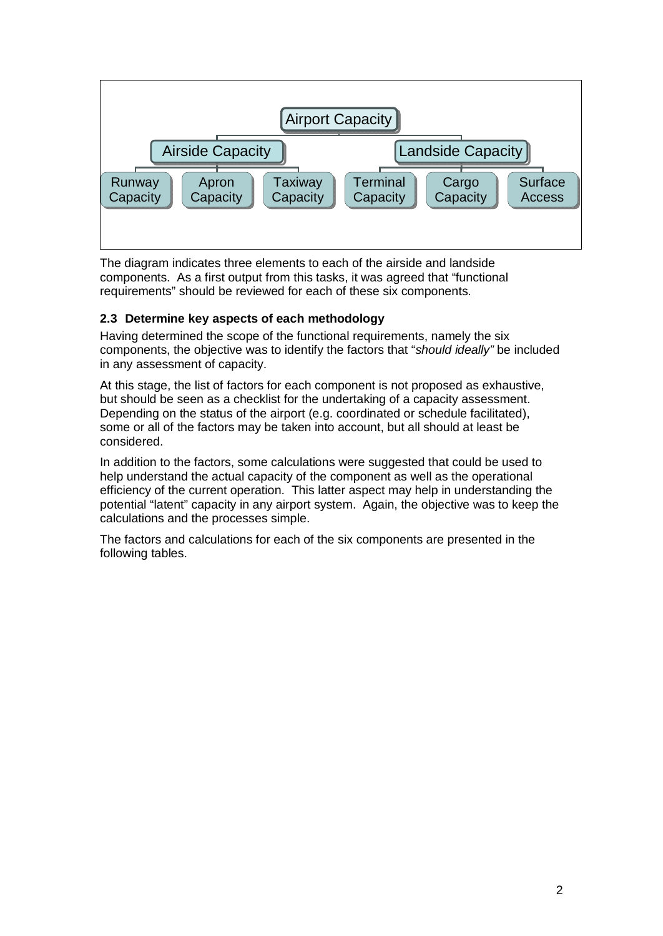

The diagram indicates three elements to each of the airside and landside components. As a first output from this tasks, it was agreed that "functional requirements" should be reviewed for each of these six components.

# **2.3 Determine key aspects of each methodology**

Having determined the scope of the functional requirements, namely the six components, the objective was to identify the factors that "*should ideally"* be included in any assessment of capacity.

At this stage, the list of factors for each component is not proposed as exhaustive, but should be seen as a checklist for the undertaking of a capacity assessment. Depending on the status of the airport (e.g. coordinated or schedule facilitated), some or all of the factors may be taken into account, but all should at least be considered.

In addition to the factors, some calculations were suggested that could be used to help understand the actual capacity of the component as well as the operational efficiency of the current operation. This latter aspect may help in understanding the potential "latent" capacity in any airport system. Again, the objective was to keep the calculations and the processes simple.

The factors and calculations for each of the six components are presented in the following tables.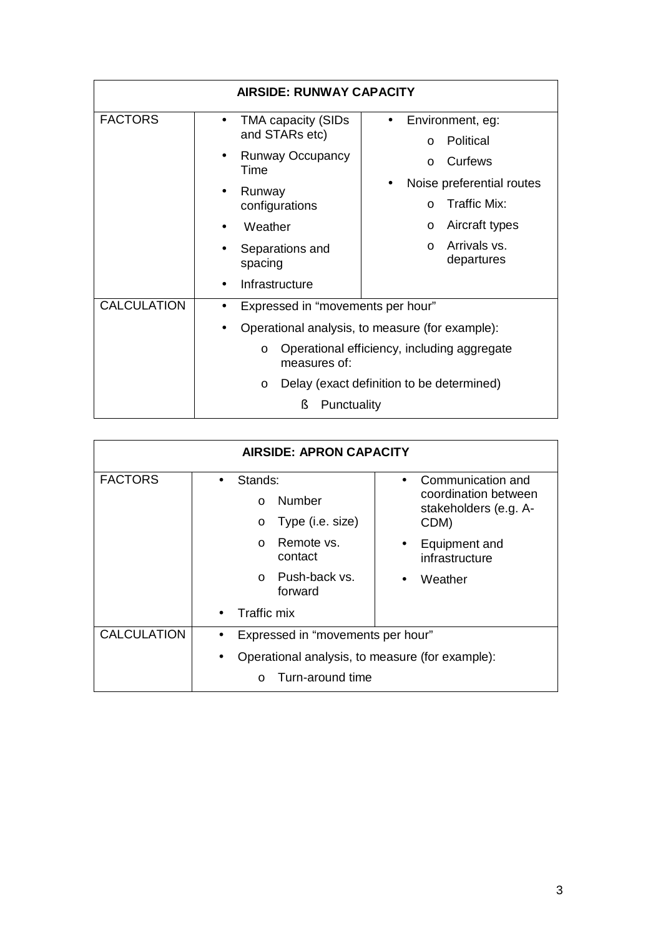| <b>AIRSIDE: RUNWAY CAPACITY</b> |                                                                                                                                                                                                                                                         |  |  |  |
|---------------------------------|---------------------------------------------------------------------------------------------------------------------------------------------------------------------------------------------------------------------------------------------------------|--|--|--|
| <b>FACTORS</b>                  | Environment, eg:<br><b>TMA capacity (SIDs</b><br>and STARs etc)<br>Political<br>$\Omega$<br><b>Runway Occupancy</b><br>Curfews<br>$\Omega$<br>Time<br>Noise preferential routes<br>Runway                                                               |  |  |  |
|                                 | Traffic Mix:<br>configurations<br>$\Omega$<br>Aircraft types<br>Weather<br>$\circ$<br>Arrivals vs.<br>$\Omega$<br>Separations and<br>departures<br>spacing<br>Infrastructure                                                                            |  |  |  |
| <b>CALCULATION</b>              | Expressed in "movements per hour"<br>$\bullet$<br>Operational analysis, to measure (for example):<br>Operational efficiency, including aggregate<br>$\circ$<br>measures of:<br>Delay (exact definition to be determined)<br>$\circ$<br>ş<br>Punctuality |  |  |  |

| <b>AIRSIDE: APRON CAPACITY</b> |                                                                     |                                                                            |  |  |
|--------------------------------|---------------------------------------------------------------------|----------------------------------------------------------------------------|--|--|
| <b>FACTORS</b>                 | Stands:<br>$\bullet$<br>Number                                      | Communication and<br>coordination between<br>stakeholders (e.g. A-<br>CDM) |  |  |
|                                | $\Omega$                                                            |                                                                            |  |  |
|                                | Type (i.e. size)<br>$\circ$                                         |                                                                            |  |  |
|                                | Remote vs.<br>$\cap$<br>contact                                     | Equipment and<br>infrastructure                                            |  |  |
|                                | Push-back vs.<br>$\Omega$<br>forward                                | Weather                                                                    |  |  |
|                                | Traffic mix                                                         |                                                                            |  |  |
| <b>CALCULATION</b>             | Expressed in "movements per hour"                                   |                                                                            |  |  |
|                                | Operational analysis, to measure (for example):<br>Turn-around time |                                                                            |  |  |
|                                |                                                                     |                                                                            |  |  |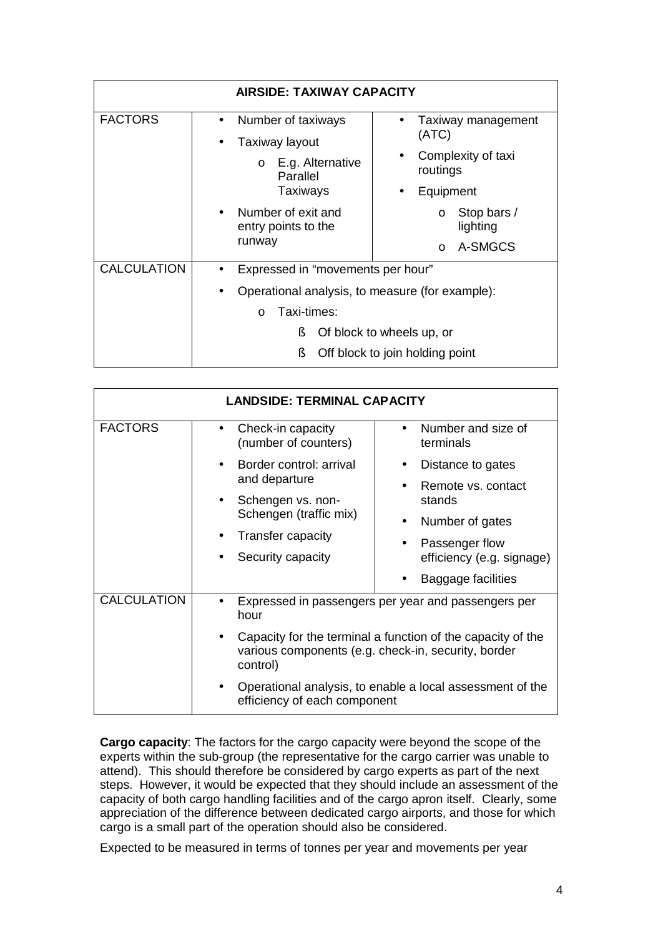| <b>AIRSIDE: TAXIWAY CAPACITY</b> |                                                                                                                                    |  |  |
|----------------------------------|------------------------------------------------------------------------------------------------------------------------------------|--|--|
| <b>FACTORS</b>                   | Number of taxiways<br>Taxiway management<br>(ATC)<br>Taxiway layout<br>$\bullet$<br>Complexity of taxi<br>$\circ$ E.g. Alternative |  |  |
|                                  | routings<br>Parallel                                                                                                               |  |  |
|                                  | Taxiways<br>Equipment                                                                                                              |  |  |
|                                  | Number of exit and<br>Stop bars /<br>$\Omega$<br>entry points to the<br>lighting                                                   |  |  |
|                                  | runway<br>A-SMGCS<br>$\Omega$                                                                                                      |  |  |
| <b>CALCULATION</b>               | Expressed in "movements per hour"<br>Operational analysis, to measure (for example):                                               |  |  |
|                                  |                                                                                                                                    |  |  |
|                                  | Taxi-times:<br>$\Omega$                                                                                                            |  |  |
|                                  | ş<br>Of block to wheels up, or                                                                                                     |  |  |
|                                  | ş.<br>Off block to join holding point                                                                                              |  |  |

| <b>LANDSIDE: TERMINAL CAPACITY</b> |                                                                                                                                |                                                     |  |  |
|------------------------------------|--------------------------------------------------------------------------------------------------------------------------------|-----------------------------------------------------|--|--|
| <b>FACTORS</b>                     | Check-in capacity<br>(number of counters)                                                                                      | Number and size of<br>terminals                     |  |  |
|                                    | Border control: arrival                                                                                                        | Distance to gates                                   |  |  |
|                                    | and departure<br>Schengen vs. non-                                                                                             | Remote vs. contact<br>stands                        |  |  |
|                                    | Schengen (traffic mix)                                                                                                         | Number of gates                                     |  |  |
|                                    | Transfer capacity                                                                                                              | Passenger flow                                      |  |  |
|                                    | Security capacity                                                                                                              | efficiency (e.g. signage)                           |  |  |
|                                    |                                                                                                                                | Baggage facilities                                  |  |  |
| <b>CALCULATION</b>                 | hour                                                                                                                           | Expressed in passengers per year and passengers per |  |  |
|                                    | Capacity for the terminal a function of the capacity of the<br>various components (e.g. check-in, security, border<br>control) |                                                     |  |  |
|                                    | Operational analysis, to enable a local assessment of the<br>efficiency of each component                                      |                                                     |  |  |

**Cargo capacity**: The factors for the cargo capacity were beyond the scope of the experts within the sub-group (the representative for the cargo carrier was unable to attend). This should therefore be considered by cargo experts as part of the next steps. However, it would be expected that they should include an assessment of the capacity of both cargo handling facilities and of the cargo apron itself. Clearly, some appreciation of the difference between dedicated cargo airports, and those for which cargo is a small part of the operation should also be considered.

Expected to be measured in terms of tonnes per year and movements per year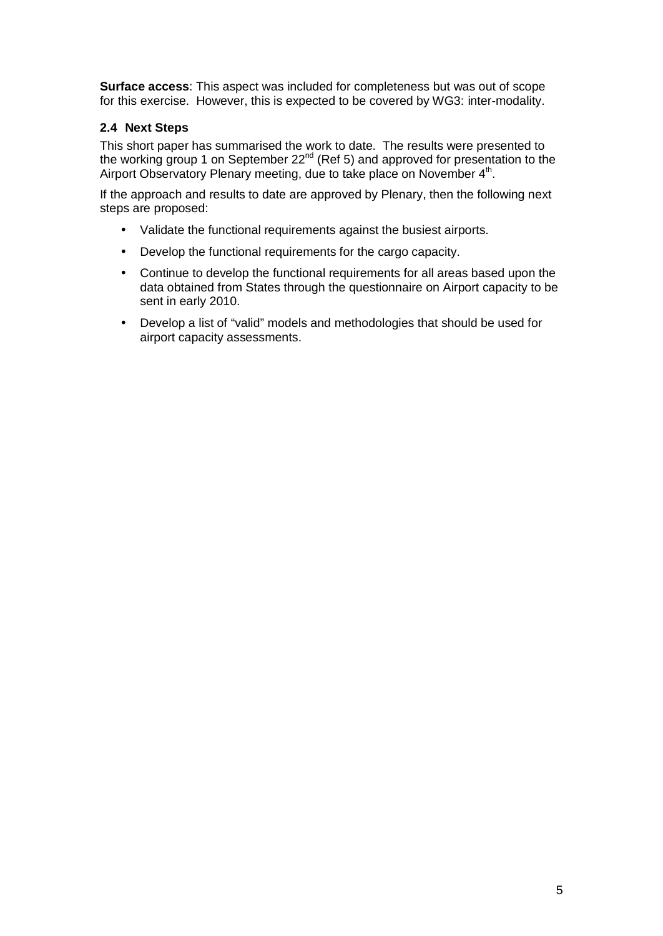**Surface access**: This aspect was included for completeness but was out of scope for this exercise. However, this is expected to be covered by WG3: inter-modality.

# **2.4 Next Steps**

This short paper has summarised the work to date. The results were presented to the working group 1 on September 22<sup>nd</sup> (Ref 5) and approved for presentation to the Airport Observatory Plenary meeting, due to take place on November 4<sup>th</sup>.

If the approach and results to date are approved by Plenary, then the following next steps are proposed:

- Validate the functional requirements against the busiest airports.
- Develop the functional requirements for the cargo capacity.
- Continue to develop the functional requirements for all areas based upon the data obtained from States through the questionnaire on Airport capacity to be sent in early 2010.
- Develop a list of "valid" models and methodologies that should be used for airport capacity assessments.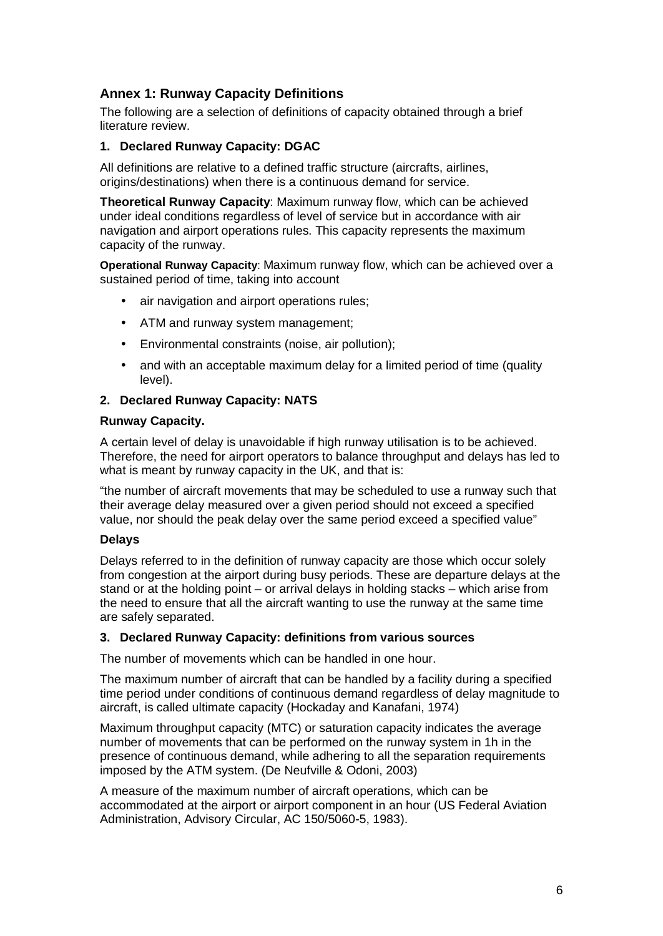# **Annex 1: Runway Capacity Definitions**

The following are a selection of definitions of capacity obtained through a brief literature review.

### **1. Declared Runway Capacity: DGAC**

All definitions are relative to a defined traffic structure (aircrafts, airlines, origins/destinations) when there is a continuous demand for service.

**Theoretical Runway Capacity**: Maximum runway flow, which can be achieved under ideal conditions regardless of level of service but in accordance with air navigation and airport operations rules. This capacity represents the maximum capacity of the runway.

**Operational Runway Capacity**: Maximum runway flow, which can be achieved over a sustained period of time, taking into account

- air navigation and airport operations rules;
- ATM and runway system management;
- Environmental constraints (noise, air pollution);
- and with an acceptable maximum delay for a limited period of time (quality level).

# **2. Declared Runway Capacity: NATS**

### **Runway Capacity.**

A certain level of delay is unavoidable if high runway utilisation is to be achieved. Therefore, the need for airport operators to balance throughput and delays has led to what is meant by runway capacity in the UK, and that is:

"the number of aircraft movements that may be scheduled to use a runway such that their average delay measured over a given period should not exceed a specified value, nor should the peak delay over the same period exceed a specified value"

### **Delays**

Delays referred to in the definition of runway capacity are those which occur solely from congestion at the airport during busy periods. These are departure delays at the stand or at the holding point – or arrival delays in holding stacks – which arise from the need to ensure that all the aircraft wanting to use the runway at the same time are safely separated.

### **3. Declared Runway Capacity: definitions from various sources**

The number of movements which can be handled in one hour.

The maximum number of aircraft that can be handled by a facility during a specified time period under conditions of continuous demand regardless of delay magnitude to aircraft, is called ultimate capacity (Hockaday and Kanafani, 1974)

Maximum throughput capacity (MTC) or saturation capacity indicates the average number of movements that can be performed on the runway system in 1h in the presence of continuous demand, while adhering to all the separation requirements imposed by the ATM system. (De Neufville & Odoni, 2003)

A measure of the maximum number of aircraft operations, which can be accommodated at the airport or airport component in an hour (US Federal Aviation Administration, Advisory Circular, AC 150/5060-5, 1983).